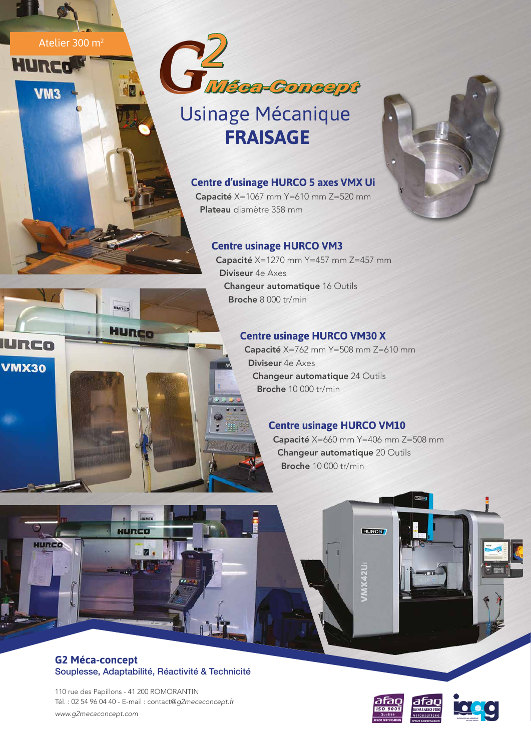Atelier 300 m<sup>2</sup>

**d图** 

**TURCO** 

HURCO

HURCO

**HURCO** 

URCo

HURCO

**VMX30** 

VM3



# Usinage Mécanique  **FRAISAGE**



Capacité X=1067 mm Y=610 mm Z=520 mm Plateau diamètre 358 mm

# **Centre usinage HURCO VM3**

Capacité X=1270 mm Y=457 mm Z=457 mm Diviseur 4e Axes Changeur automatique 16 Outils Broche 8 000 tr/min

## **Centre usinage HURCO VM30 X**

Capacité X=762 mm Y=508 mm Z=610 mm Diviseur 4e Axes Changeur automatique 24 Outils Broche 10 000 tr/min

### **Centre usinage HURCO VM10**

Capacité X=660 mm Y=406 mm Z=508 mm Changeur automatique 20 Outils Broche 10 000 tr/min

**HURCO** 

**MX42U** 

#### **G2 Méca-concept** Souplesse, Adaptabilité, Réactivité & Technicité

110 rue des Papillons - 41 200 ROMORANTIN Tél. : 02 54 96 04 40 - E-mail : contact@*g2mecaconcept.fr www.g2mecaconcept.com*